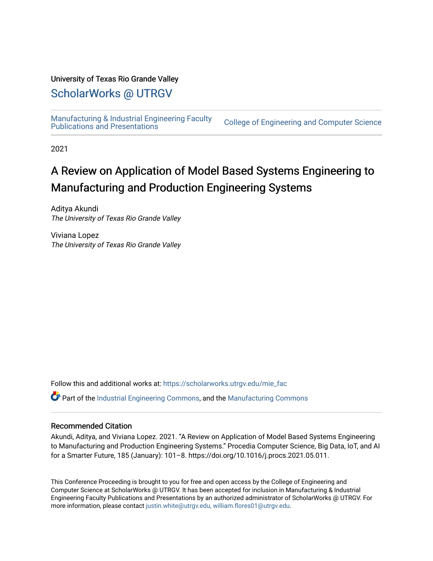### University of Texas Rio Grande Valley

## [ScholarWorks @ UTRGV](https://scholarworks.utrgv.edu/)

[Manufacturing & Industrial Engineering Faculty](https://scholarworks.utrgv.edu/mie_fac) 

**College of Engineering and Computer Science** 

2021

# A Review on Application of Model Based Systems Engineering to Manufacturing and Production Engineering Systems

Aditya Akundi The University of Texas Rio Grande Valley

Viviana Lopez The University of Texas Rio Grande Valley

Follow this and additional works at: [https://scholarworks.utrgv.edu/mie\\_fac](https://scholarworks.utrgv.edu/mie_fac?utm_source=scholarworks.utrgv.edu%2Fmie_fac%2F20&utm_medium=PDF&utm_campaign=PDFCoverPages) 

Part of the [Industrial Engineering Commons](http://network.bepress.com/hgg/discipline/307?utm_source=scholarworks.utrgv.edu%2Fmie_fac%2F20&utm_medium=PDF&utm_campaign=PDFCoverPages), and the [Manufacturing Commons](http://network.bepress.com/hgg/discipline/301?utm_source=scholarworks.utrgv.edu%2Fmie_fac%2F20&utm_medium=PDF&utm_campaign=PDFCoverPages) 

#### Recommended Citation

Akundi, Aditya, and Viviana Lopez. 2021. "A Review on Application of Model Based Systems Engineering to Manufacturing and Production Engineering Systems." Procedia Computer Science, Big Data, IoT, and AI for a Smarter Future, 185 (January): 101–8. https://doi.org/10.1016/j.procs.2021.05.011.

This Conference Proceeding is brought to you for free and open access by the College of Engineering and Computer Science at ScholarWorks @ UTRGV. It has been accepted for inclusion in Manufacturing & Industrial Engineering Faculty Publications and Presentations by an authorized administrator of ScholarWorks @ UTRGV. For more information, please contact [justin.white@utrgv.edu, william.flores01@utrgv.edu.](mailto:justin.white@utrgv.edu,%20william.flores01@utrgv.edu)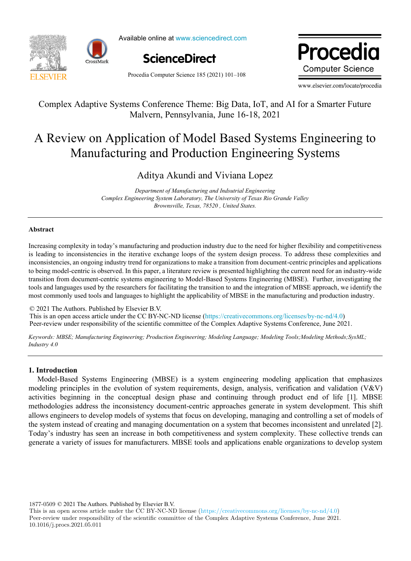

Available online at www.sciencedirect.com



Procedia Computer Science 185 (2021) 101–108

ww.elsevie **Computer Science** 

www.elsevier.com/locate/procedia

### Complex Adaptive Systems Conference Theme: Big Data, IoT, and AI for a Smarter Future Complex Adaptive Systems Conference Theme: Big Data, IoT, and AI for a Smarter Future Malvern, Pennsylvania, June 16-18, 2021 Malvern, Pennsylvania, June 16-18, 2021

# A Review on Application of Model Based Systems Engineering to A Review on Application of Model Based Systems Engineering to Manufacturing and Production Engineering Systems Manufacturing and Production Engineering Systems

## Aditya Akundi and Viviana Lopez Aditya Akundi and Viviana Lopez

*Department of Manufacturing and Indsutrial Engineering Department of Manufacturing and Indsutrial Engineering Complex Engineering System Laboratory, The University of Texas Rio Grande Valley Complex Engineering System Laboratory, The University of Texas Rio Grande Valley Brownsville, Texas, 78520 , United States. Brownsville, Texas, 78520 , United States.*

#### **Abstract Abstract**

Increasing complexity in today's manufacturing and production industry due to the need for higher flexibility and competitiveness is leading to inconsistencies in the iterative exchange loops of the system design process. To address these complexities and inconsistencies, an ongoing industry trend for organizations to make a transition from document-centric principles and applications to being model-centric is observed. In this paper, a literature review is presented highlighting the current need for an industry-wide transition from document-centric systems engineering to Model-Based Systems Engineering (MBSE). Further, investigating the tools and languages used by the researchers for facilitating the transition to and the integration of MBSE approach, we identify the most commonly used tools and languages to highlight the applicability of MBSE in the manufacturing and production industry.

© 2021 The Authors. Published by Elsevier B.V. © 2021 The Authors. Published by Elsevier B.V.<br>This is an open access article under the CC BY-NC-ND license (https://creativecommons.org/licenses/by-nc-nd/4.0) Peer-review under responsibility of the scientific committee of the Complex Adaptive Systems Conference, June 2021. Peer-review under responsibility of the scientific committee of the Complex Adaptive Systems Conference, June 2021 This is an open access article under the CC BY-NC-ND license (https://creativecommons.org/licenses/by-nc-nd/4.0) Peer-review under responsibility of the scientific committee of the Complex Adaptive Systems Conference, June 2021

Keywords: MBSE; Manufacturing Engineering; Production Engineering; Modeling Language; Modeling Tools; Modeling Methods; SysML; *Industry 4.0 Industry 4.0*

#### **1. Introduction 1. Introduction**

Model-Based Systems Engineering (MBSE) is a system engineering modeling application that emphasizes Model-Based Systems Engineering (MBSE) is a system engineering modeling application that emphasizes modeling principles in the evolution of system requirements, design, analysis, verification and validation (V&V) activities beginning in the conceptual design phase and continuing through product end of life [1]. MBSE activities beginning in the conceptual design phase and continuing through product end of life [1]. MBSE methodologies address the inconsistency document-centric approaches generate in system development. This shift methodologies address the inconsistency document-centric approaches generate in system development. This shift allows engineers to develop models of systems that focus on developing, managing and controlling a set of models of the system instead of creating and managing documentation on a system that becomes inconsistent and unrelated [2]. Today's industry has seen an increase in both competitiveness and system complexity. These collective trends can generate a variety of issues for manufacturers. MBSE tools and applications enable organizations to develop system

1877-0509 © 2021 The Authors. Published by Elsevier B.V.

This is an open access article under the CC BY-NC-ND license (https://creativecommons.org/licenses/by-nc-nd/4.0) Peer-review under responsibility of the scientific committee of the Complex Adaptive Systems Conference, June 2021. 10.1016/j.procs.2021.05.011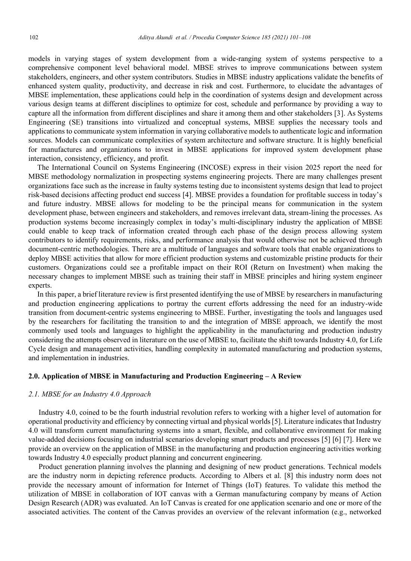models in varying stages of system development from a wide-ranging system of systems perspective to a comprehensive component level behavioral model. MBSE strives to improve communications between system stakeholders, engineers, and other system contributors. Studies in MBSE industry applications validate the benefits of enhanced system quality, productivity, and decrease in risk and cost. Furthermore, to elucidate the advantages of MBSE implementation, these applications could help in the coordination of systems design and development across various design teams at different disciplines to optimize for cost, schedule and performance by providing a way to capture all the information from different disciplines and share it among them and other stakeholders [3]. As Systems Engineering (SE) transitions into virtualized and conceptual systems, MBSE supplies the necessary tools and applications to communicate system information in varying collaborative models to authenticate logic and information sources. Models can communicate complexities of system architecture and software structure. It is highly beneficial for manufactures and organizations to invest in MBSE applications for improved system development phase interaction, consistency, efficiency, and profit.

The International Council on Systems Engineering (INCOSE) express in their vision 2025 report the need for MBSE methodology normalization in prospecting systems engineering projects. There are many challenges present organizations face such as the increase in faulty systems testing due to inconsistent systems design that lead to project risk-based decisions affecting product end success [4]. MBSE provides a foundation for profitable success in today's and future industry. MBSE allows for modeling to be the principal means for communication in the system development phase, between engineers and stakeholders, and removes irrelevant data, stream-lining the processes. As production systems become increasingly complex in today's multi-disciplinary industry the application of MBSE could enable to keep track of information created through each phase of the design process allowing system contributors to identify requirements, risks, and performance analysis that would otherwise not be achieved through document-centric methodologies. There are a multitude of languages and software tools that enable organizations to deploy MBSE activities that allow for more efficient production systems and customizable pristine products for their customers. Organizations could see a profitable impact on their ROI (Return on Investment) when making the necessary changes to implement MBSE such as training their staff in MBSE principles and hiring system engineer experts.

In this paper, a brief literature review is first presented identifying the use of MBSE by researchers in manufacturing and production engineering applications to portray the current efforts addressing the need for an industry-wide transition from document-centric systems engineering to MBSE. Further, investigating the tools and languages used by the researchers for facilitating the transition to and the integration of MBSE approach, we identify the most commonly used tools and languages to highlight the applicability in the manufacturing and production industry considering the attempts observed in literature on the use of MBSE to, facilitate the shift towards Industry 4.0, for Life Cycle design and management activities, handling complexity in automated manufacturing and production systems, and implementation in industries.

#### **2.0. Application of MBSE in Manufacturing and Production Engineering – A Review**

#### *2.1. MBSE for an Industry 4.0 Approach*

Industry 4.0, coined to be the fourth industrial revolution refers to working with a higher level of automation for operational productivity and efficiency by connecting virtual and physical worlds [5]. Literature indicates that Industry 4.0 will transform current manufacturing systems into a smart, flexible, and collaborative environment for making value-added decisions focusing on industrial scenarios developing smart products and processes [5] [6] [7]. Here we provide an overview on the application of MBSE in the manufacturing and production engineering activities working towards Industry 4.0 especially product planning and concurrent engineering.

Product generation planning involves the planning and designing of new product generations. Technical models are the industry norm in depicting reference products. According to Albers et al. [8] this industry norm does not provide the necessary amount of information for Internet of Things (IoT) features. To validate this method the utilization of MBSE in collaboration of IOT canvas with a German manufacturing company by means of Action Design Research (ADR) was evaluated. An IoT Canvas is created for one application scenario and one or more of the associated activities. The content of the Canvas provides an overview of the relevant information (e.g., networked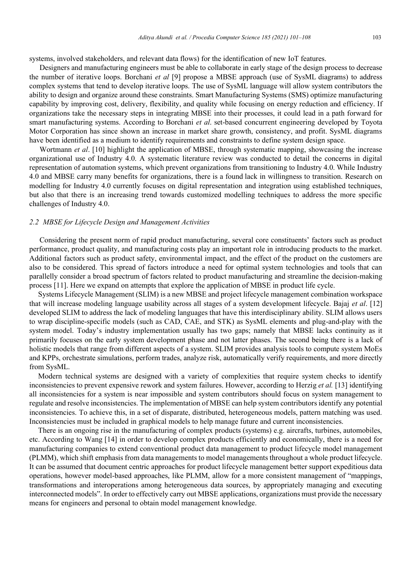systems, involved stakeholders, and relevant data flows) for the identification of new IoT features.

Designers and manufacturing engineers must be able to collaborate in early stage of the design process to decrease the number of iterative loops. Borchani *et al* [9] propose a MBSE approach (use of SysML diagrams) to address complex systems that tend to develop iterative loops. The use of SysML language will allow system contributors the ability to design and organize around these constraints. Smart Manufacturing Systems (SMS) optimize manufacturing capability by improving cost, delivery, flexibility, and quality while focusing on energy reduction and efficiency. If organizations take the necessary steps in integrating MBSE into their processes, it could lead in a path forward for smart manufacturing systems. According to Borchani *et al*. set-based concurrent engineering developed by Toyota Motor Corporation has since shown an increase in market share growth, consistency, and profit. SysML diagrams have been identified as a medium to identify requirements and constraints to define system design space.

Wortmann *et al*. [10] highlight the application of MBSE, through systematic mapping, showcasing the increase organizational use of Industry 4.0. A systematic literature review was conducted to detail the concerns in digital representation of automation systems, which prevent organizations from transitioning to Industry 4.0. While Industry 4.0 and MBSE carry many benefits for organizations, there is a found lack in willingness to transition. Research on modelling for Industry 4.0 currently focuses on digital representation and integration using established techniques, but also that there is an increasing trend towards customized modelling techniques to address the more specific challenges of Industry 4.0.

#### *2.2 MBSE for Lifecycle Design and Management Activities*

Considering the present norm of rapid product manufacturing, several core constituents' factors such as product performance, product quality, and manufacturing costs play an important role in introducing products to the market. Additional factors such as product safety, environmental impact, and the effect of the product on the customers are also to be considered. This spread of factors introduce a need for optimal system technologies and tools that can parallelly consider a broad spectrum of factors related to product manufacturing and streamline the decision-making process [11]. Here we expand on attempts that explore the application of MBSE in product life cycle.

Systems Lifecycle Management (SLIM) is a new MBSE and project lifecycle management combination workspace that will increase modeling language usability across all stages of a system development lifecycle. Bajaj *et al*. [12] developed SLIM to address the lack of modeling languages that have this interdisciplinary ability. SLIM allows users to wrap discipline-specific models (such as CAD, CAE, and STK) as SysML elements and plug-and-play with the system model. Today's industry implementation usually has two gaps; namely that MBSE lacks continuity as it primarily focuses on the early system development phase and not latter phases. The second being there is a lack of holistic models that range from different aspects of a system. SLIM provides analysis tools to compute system MoEs and KPPs, orchestrate simulations, perform trades, analyze risk, automatically verify requirements, and more directly from SysML.

Modern technical systems are designed with a variety of complexities that require system checks to identify inconsistencies to prevent expensive rework and system failures. However, according to Herzig *et al.* [13] identifying all inconsistencies for a system is near impossible and system contributors should focus on system management to regulate and resolve inconsistencies. The implementation of MBSE can help system contributors identify any potential inconsistencies. To achieve this, in a set of disparate, distributed, heterogeneous models, pattern matching was used. Inconsistencies must be included in graphical models to help manage future and current inconsistencies.

There is an ongoing rise in the manufacturing of complex products (systems) e.g. aircrafts, turbines, automobiles, etc. According to Wang [14] in order to develop complex products efficiently and economically, there is a need for manufacturing companies to extend conventional product data management to product lifecycle model management (PLMM), which shift emphasis from data managements to model managements throughout a whole product lifecycle. It can be assumed that document centric approaches for product lifecycle management better support expeditious data operations, however model-based approaches, like PLMM, allow for a more consistent management of "mappings, transformations and interoperations among heterogeneous data sources, by appropriately managing and executing interconnected models". In order to effectively carry out MBSE applications, organizations must provide the necessary means for engineers and personal to obtain model management knowledge.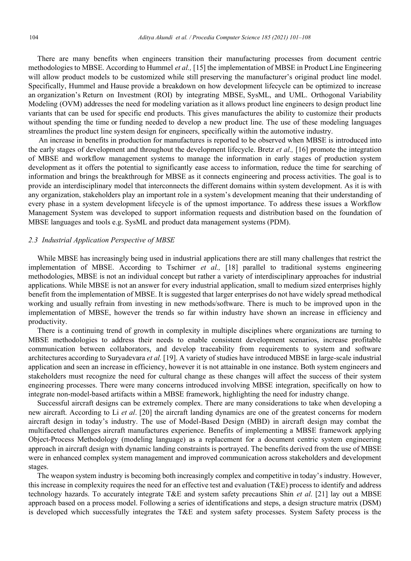There are many benefits when engineers transition their manufacturing processes from document centric methodologies to MBSE. According to Hummel *et al.,* [15] the implementation of MBSE in Product Line Engineering will allow product models to be customized while still preserving the manufacturer's original product line model. Specifically, Hummel and Hause provide a breakdown on how development lifecycle can be optimized to increase an organization's Return on Investment (ROI) by integrating MBSE, SysML, and UML. Orthogonal Variability Modeling (OVM) addresses the need for modeling variation as it allows product line engineers to design product line variants that can be used for specific end products. This gives manufactures the ability to customize their products without spending the time or funding needed to develop a new product line. The use of these modeling languages streamlines the product line system design for engineers, specifically within the automotive industry.

An increase in benefits in production for manufactures is reported to be observed when MBSE is introduced into the early stages of development and throughout the development lifecycle. Bretz *et al.,* [16] promote the integration of MBSE and workflow management systems to manage the information in early stages of production system development as it offers the potential to significantly ease access to information, reduce the time for searching of information and brings the breakthrough for MBSE as it connects engineering and process activities. The goal is to provide an interdisciplinary model that interconnects the different domains within system development. As it is with any organization, stakeholders play an important role in a system's development meaning that their understanding of every phase in a system development lifecycle is of the upmost importance. To address these issues a Workflow Management System was developed to support information requests and distribution based on the foundation of MBSE languages and tools e.g. SysML and product data management systems (PDM).

#### *2.3 Industrial Application Perspective of MBSE*

While MBSE has increasingly being used in industrial applications there are still many challenges that restrict the implementation of MBSE. According to Tschirner *et al.,* [18] parallel to traditional systems engineering methodologies, MBSE is not an individual concept but rather a variety of interdisciplinary approaches for industrial applications. While MBSE is not an answer for every industrial application, small to medium sized enterprises highly benefit from the implementation of MBSE. It is suggested that larger enterprises do not have widely spread methodical working and usually refrain from investing in new methods/software. There is much to be improved upon in the implementation of MBSE, however the trends so far within industry have shown an increase in efficiency and productivity.

There is a continuing trend of growth in complexity in multiple disciplines where organizations are turning to MBSE methodologies to address their needs to enable consistent development scenarios, increase profitable communication between collaborators, and develop traceability from requirements to system and software architectures according to Suryadevara *et al.* [19]. A variety of studies have introduced MBSE in large-scale industrial application and seen an increase in efficiency, however it is not attainable in one instance. Both system engineers and stakeholders must recognize the need for cultural change as these changes will affect the success of their system engineering processes. There were many concerns introduced involving MBSE integration, specifically on how to integrate non-model-based artifacts within a MBSE framework, highlighting the need for industry change.

Successful aircraft designs can be extremely complex. There are many considerations to take when developing a new aircraft. According to Li *et al*. [20] the aircraft landing dynamics are one of the greatest concerns for modern aircraft design in today's industry. The use of Model-Based Design (MBD) in aircraft design may combat the multifaceted challenges aircraft manufactures experience. Benefits of implementing a MBSE framework applying Object-Process Methodology (modeling language) as a replacement for a document centric system engineering approach in aircraft design with dynamic landing constraints is portrayed. The benefits derived from the use of MBSE were in enhanced complex system management and improved communication across stakeholders and development stages.

The weapon system industry is becoming both increasingly complex and competitive in today's industry. However, this increase in complexity requires the need for an effective test and evaluation (T&E) process to identify and address technology hazards. To accurately integrate T&E and system safety precautions Shin *et al*. [21] lay out a MBSE approach based on a process model. Following a series of identifications and steps, a design structure matrix (DSM) is developed which successfully integrates the T&E and system safety processes. System Safety process is the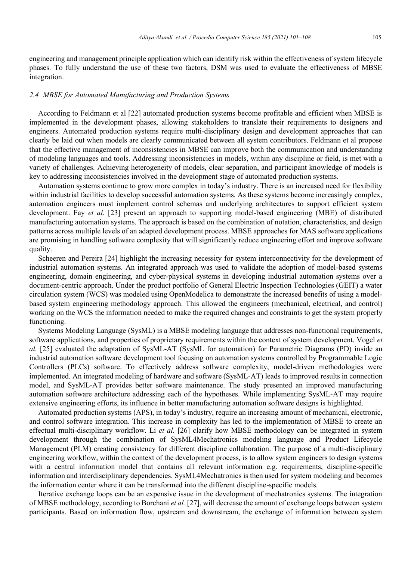engineering and management principle application which can identify risk within the effectiveness of system lifecycle phases. To fully understand the use of these two factors, DSM was used to evaluate the effectiveness of MBSE integration.

#### *2.4 MBSE for Automated Manufacturing and Production Systems*

According to Feldmann et al [22] automated production systems become profitable and efficient when MBSE is implemented in the development phases, allowing stakeholders to translate their requirements to designers and engineers. Automated production systems require multi-disciplinary design and development approaches that can clearly be laid out when models are clearly communicated between all system contributors. Feldmann et al propose that the effective management of inconsistencies in MBSE can improve both the communication and understanding of modeling languages and tools. Addressing inconsistencies in models, within any discipline or field, is met with a variety of challenges. Achieving heterogeneity of models, clear separation, and participant knowledge of models is key to addressing inconsistencies involved in the development stage of automated production systems.

Automation systems continue to grow more complex in today's industry. There is an increased need for flexibility within industrial facilities to develop successful automation systems. As these systems become increasingly complex, automation engineers must implement control schemas and underlying architectures to support efficient system development. Fay *et al*. [23] present an approach to supporting model-based engineering (MBE) of distributed manufacturing automation systems. The approach is based on the combination of notation, characteristics, and design patterns across multiple levels of an adapted development process. MBSE approaches for MAS software applications are promising in handling software complexity that will significantly reduce engineering effort and improve software quality.

Scheeren and Pereira [24] highlight the increasing necessity for system interconnectivity for the development of industrial automation systems. An integrated approach was used to validate the adoption of model-based systems engineering, domain engineering, and cyber-physical systems in developing industrial automation systems over a document-centric approach. Under the product portfolio of General Electric Inspection Technologies (GEIT) a water circulation system (WCS) was modeled using OpenModelica to demonstrate the increased benefits of using a modelbased system engineering methodology approach. This allowed the engineers (mechanical, electrical, and control) working on the WCS the information needed to make the required changes and constraints to get the system properly functioning.

Systems Modeling Language (SysML) is a MBSE modeling language that addresses non-functional requirements, software applications, and properties of proprietary requirements within the context of system development. Vogel *et al.* [25] evaluated the adaptation of SysML-AT (SysML for automation) for Parametric Diagrams (PD) inside an industrial automation software development tool focusing on automation systems controlled by Programmable Logic Controllers (PLCs) software. To effectively address software complexity, model-driven methodologies were implemented. An integrated modeling of hardware and software (SysML-AT) leads to improved results in connection model, and SysML-AT provides better software maintenance. The study presented an improved manufacturing automation software architecture addressing each of the hypotheses. While implementing SysML-AT may require extensive engineering efforts, its influence in better manufacturing automation software designs is highlighted.

Automated production systems (APS), in today's industry, require an increasing amount of mechanical, electronic, and control software integration. This increase in complexity has led to the implementation of MBSE to create an effectual multi-disciplinary workflow. Li *et al.* [26] clarify how MBSE methodology can be integrated in system development through the combination of SysML4Mechatronics modeling language and Product Lifecycle Management (PLM) creating consistency for different discipline collaboration. The purpose of a multi-disciplinary engineering workflow, within the context of the development process, is to allow system engineers to design systems with a central information model that contains all relevant information e.g. requirements, discipline-specific information and interdisciplinary dependencies. SysML4Mechatronics is then used for system modeling and becomes the information center where it can be transformed into the different discipline-specific models.

Iterative exchange loops can be an expensive issue in the development of mechatronics systems. The integration of MBSE methodology, according to Borchani *et al.* [27], will decrease the amount of exchange loops between system participants. Based on information flow, upstream and downstream, the exchange of information between system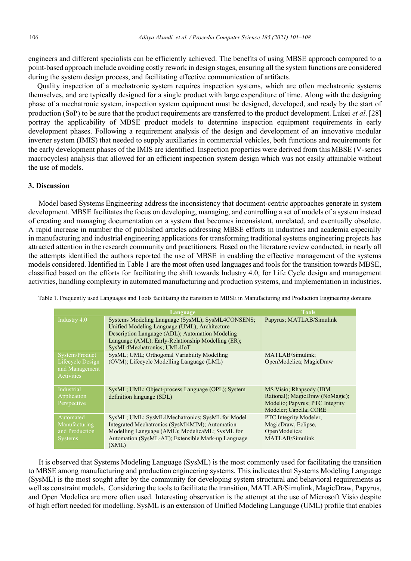engineers and different specialists can be efficiently achieved. The benefits of using MBSE approach compared to a point-based approach include avoiding costly rework in design stages, ensuring all the system functions are considered during the system design process, and facilitating effective communication of artifacts.

Quality inspection of a mechatronic system requires inspection systems, which are often mechatronic systems themselves, and are typically designed for a single product with large expenditure of time. Along with the designing phase of a mechatronic system, inspection system equipment must be designed, developed, and ready by the start of production (SoP) to be sure that the product requirements are transferred to the product development. Lukei *et al*. [28] portray the applicability of MBSE product models to determine inspection equipment requirements in early development phases. Following a requirement analysis of the design and development of an innovative modular inverter system (IMIS) that needed to supply auxiliaries in commercial vehicles, both functions and requirements for the early development phases of the IMIS are identified. Inspection properties were derived from this MBSE (V-series macrocycles) analysis that allowed for an efficient inspection system design which was not easily attainable without the use of models.

#### **3. Discussion**

Model based Systems Engineering address the inconsistency that document-centric approaches generate in system development. MBSE facilitates the focus on developing, managing, and controlling a set of models of a system instead of creating and managing documentation on a system that becomes inconsistent, unrelated, and eventually obsolete. A rapid increase in number the of published articles addressing MBSE efforts in industries and academia especially in manufacturing and industrial engineering applications for transforming traditional systems engineering projects has attracted attention in the research community and practitioners. Based on the literature review conducted, in nearly all the attempts identified the authors reported the use of MBSE in enabling the effective management of the systems models considered. Identified in Table 1 are the most often used languages and tools for the transition towards MBSE, classified based on the efforts for facilitating the shift towards Industry 4.0, for Life Cycle design and management activities, handling complexity in automated manufacturing and production systems, and implementation in industries.

|                                                                    | Language                                                                                                                                                                                                                                   | <b>Tools</b>                                                                                                            |
|--------------------------------------------------------------------|--------------------------------------------------------------------------------------------------------------------------------------------------------------------------------------------------------------------------------------------|-------------------------------------------------------------------------------------------------------------------------|
| Industry 4.0                                                       | Systems Modeling Language (SysML); SysML4CONSENS;<br>Unified Modeling Language (UML); Architecture<br>Description Language (ADL); Automation Modeling<br>Language (AML); Early-Relationship Modelling (ER);<br>SysML4Mechatronics; UML4IoT | Papyrus; MATLAB/Simulink                                                                                                |
| System/Product<br>Lifecycle Design<br>and Management<br>Activities | SysML; UML; Orthogonal Variability Modelling<br>(OVM); Lifecycle Modelling Language (LML)                                                                                                                                                  | MATLAB/Simulink;<br>OpenModelica; MagicDraw                                                                             |
| Industrial<br>Application<br>Perspective                           | SysML; UML; Object-process Language (OPL); System<br>definition language (SDL)                                                                                                                                                             | MS Visio; Rhapsody (IBM<br>Rational); MagicDraw (NoMagic);<br>Modelio; Papyrus; PTC Integrity<br>Modeler; Capella; CORE |
| Automated<br>Manufacturing<br>and Production<br><b>Systems</b>     | SysML; UML; SysML4Mechatronics; SysML for Model<br>Integrated Mechatronics (SysMl4MIM); Automation<br>Modelling Language (AML); ModelicaML; SysML for<br>Automation (SysML-AT); Extensible Mark-up Language<br>(XML)                       | PTC Integrity Modeler,<br>MagicDraw, Eclipse,<br>OpenModelica;<br>MATLAB/Simulink                                       |

Table 1. Frequently used Languages and Tools facilitating the transition to MBSE in Manufacturing and Production Engineering domains

It is observed that Systems Modeling Language (SysML) is the most commonly used for facilitating the transition to MBSE among manufacturing and production engineering systems. This indicates that Systems Modeling Language (SysML) is the most sought after by the community for developing system structural and behavioral requirements as well as constraint models. Considering the tools to facilitate the transition, MATLAB/Simulink, MagicDraw, Papyrus, and Open Modelica are more often used. Interesting observation is the attempt at the use of Microsoft Visio despite of high effort needed for modelling. SysML is an extension of Unified Modeling Language (UML) profile that enables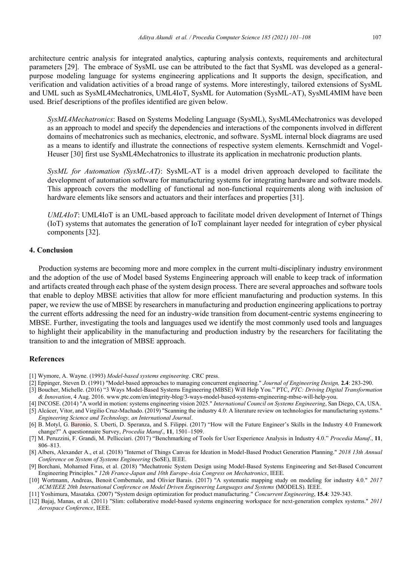architecture centric analysis for integrated analytics, capturing analysis contexts, requirements and architectural parameters [29]. The embrace of SysML use can be attributed to the fact that SysML was developed as a generalpurpose modeling language for systems engineering applications and It supports the design, specification, and verification and validation activities of a broad range of systems. More interestingly, tailored extensions of SysML and UML such as SysML4Mechatronics, UML4IoT, SysML for Automation (SysML-AT), SysML4MIM have been used. Brief descriptions of the profiles identified are given below.

*SysML4Mechatronics*: Based on Systems Modeling Language (SysML), SysML4Mechatronics was developed as an approach to model and specify the dependencies and interactions of the components involved in different domains of mechatronics such as mechanics, electronic, and software. SysML internal block diagrams are used as a means to identify and illustrate the connections of respective system elements. Kernschmidt and Vogel-Heuser [30] first use SysML4Mechatronics to illustrate its application in mechatronic production plants.

*SysML for Automation (SysML-AT)*: SysML-AT is a model driven approach developed to facilitate the development of automation software for manufacturing systems for integrating hardware and software models. This approach covers the modelling of functional ad non-functional requirements along with inclusion of hardware elements like sensors and actuators and their interfaces and properties [31].

*UML4IoT*: UML4IoT is an UML-based approach to facilitate model driven development of Internet of Things (IoT) systems that automates the generation of IoT complainant layer needed for integration of cyber physical components [32].

#### **4. Conclusion**

Production systems are becoming more and more complex in the current multi-disciplinary industry environment and the adoption of the use of Model based Systems Engineering approach will enable to keep track of information and artifacts created through each phase of the system design process. There are several approaches and software tools that enable to deploy MBSE activities that allow for more efficient manufacturing and production systems. In this paper, we review the use of MBSE by researchers in manufacturing and production engineering applications to portray the current efforts addressing the need for an industry-wide transition from document-centric systems engineering to MBSE. Further, investigating the tools and languages used we identify the most commonly used tools and languages to highlight their applicability in the manufacturing and production industry by the researchers for facilitating the transition to and the integration of MBSE approach.

#### **References**

- [1] Wymore, A. Wayne. (1993) *Model-based systems engineering*. CRC press.
- [2] Eppinger, Steven D. (1991) "Model-based approaches to managing concurrent engineering." *Journal of Engineering Design,* **2.4**: 283-290.
- [3] Boucher, Michelle. (2016) "3 Ways Model-Based Systems Engineering (MBSE) Will Help You." PTC, *PTC: Driving Digital Transformation & Innovation*, 4 Aug. 2016. www.ptc.com/en/integrity-blog/3-ways-model-based-systems-engineering-mbse-will-help-you.
- [4] INCOSE. (2014) "A world in motion: systems engineering vision 2025." *International Council on Systems Engineering*, San Diego, CA, USA.
- [5] Alcácer, Vitor, and Virgilio Cruz-Machado. (2019) "Scanning the industry 4.0: A literature review on technologies for manufacturing systems." *Engineering Science and Technology, an International Journal*.
- [6] B. Motyl, G. Baronio, S. Uberti, D. Speranza, and S. Filippi. (2017) "How will the Future Engineer's Skills in the Industry 4.0 Framework change?" A questionnaire Survey, *Procedia Manuf*., **11**, 1501–1509.
- [7] M. Peruzzini, F. Grandi, M. Pellicciari. (2017) "Benchmarking of Tools for User Experience Analysis in Industry 4.0." *Procedia Manuf*., **11**, 806–813.
- [8] Albers, Alexander A., et al. (2018) "Internet of Things Canvas for Ideation in Model-Based Product Generation Planning." *2018 13th Annual Conference on System of Systems Engineering* (SoSE), IEEE.
- [9] Borchani, Mohamed Firas, et al. (2018) "Mechatronic System Design using Model-Based Systems Engineering and Set-Based Concurrent Engineering Principles." *12th France-Japan and 10th Europe-Asia Congress on Mechatronics*, IEEE.
- [10] Wortmann, Andreas, Benoit Combemale, and Olivier Barais. (2017) "A systematic mapping study on modeling for industry 4.0." *2017 ACM/IEEE 20th International Conference on Model Driven Engineering Languages and Systems* (MODELS). IEEE.
- [11] Yoshimura, Masataka. (2007) "System design optimization for product manufacturing." *Concurrent Engineering*, **15.4**: 329-343.
- [12] Bajaj, Manas, et al. (2011) "Slim: collaborative model-based systems engineering workspace for next-generation complex systems." *2011 Aerospace Conference*, IEEE.